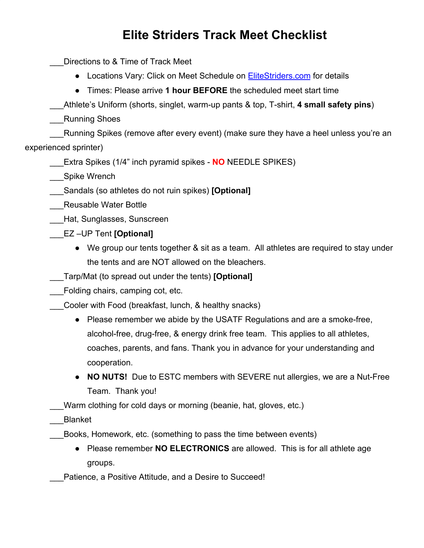## **Elite Striders Track Meet Checklist**

Directions to & Time of Track Meet

- Locations Vary: Click on Meet Schedule on **[EliteStriders.com](http://www.elitestriders.com/copy-of-new-coaches-bios-page-1)** for details
- Times: Please arrive **1 hour BEFORE** the scheduled meet start time

\_\_\_Athlete's Uniform (shorts, singlet, warm-up pants & top, T-shirt, **4 small safety pins**)

\_\_\_Running Shoes

Running Spikes (remove after every event) (make sure they have a heel unless you're an experienced sprinter)

\_\_\_Extra Spikes (1/4" inch pyramid spikes - **NO** NEEDLE SPIKES)

Spike Wrench

\_\_\_Sandals (so athletes do not ruin spikes) **[Optional]**

Reusable Water Bottle

- \_\_\_Hat, Sunglasses, Sunscreen
- \_\_\_EZ –UP Tent **[Optional]**
	- We group our tents together & sit as a team. All athletes are required to stay under the tents and are NOT allowed on the bleachers.
- \_\_\_Tarp/Mat (to spread out under the tents) **[Optional]**

Folding chairs, camping cot, etc.

\_\_\_Cooler with Food (breakfast, lunch, & healthy snacks)

- Please remember we abide by the USATF Regulations and are a smoke-free, alcohol-free, drug-free, & energy drink free team. This applies to all athletes, coaches, parents, and fans. Thank you in advance for your understanding and cooperation.
- **● NO NUTS!** Due to ESTC members with SEVERE nut allergies, we are a Nut-Free Team. Thank you!

Warm clothing for cold days or morning (beanie, hat, gloves, etc.)

\_\_\_Blanket

\_\_\_Books, Homework, etc. (something to pass the time between events)

- Please remember **NO ELECTRONICS** are allowed. This is for all athlete age groups.
- Patience, a Positive Attitude, and a Desire to Succeed!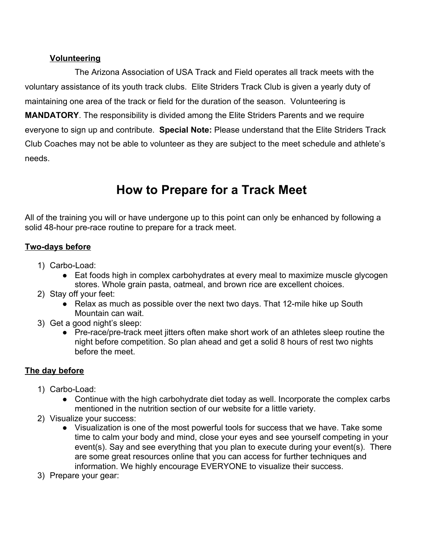#### **Volunteering**

The Arizona Association of USA Track and Field operates all track meets with the voluntary assistance of its youth track clubs. Elite Striders Track Club is given a yearly duty of maintaining one area of the track or field for the duration of the season. Volunteering is **MANDATORY**. The responsibility is divided among the Elite Striders Parents and we require everyone to sign up and contribute. **Special Note:** Please understand that the Elite Striders Track Club Coaches may not be able to volunteer as they are subject to the meet schedule and athlete's needs.

# **How to Prepare for a Track Meet**

All of the training you will or have undergone up to this point can only be enhanced by following a solid 48-hour pre-race routine to prepare for a track meet.

## **Two-days before**

- 1) Carbo-Load:
	- Eat foods high in complex carbohydrates at every meal to maximize muscle glycogen stores. Whole grain pasta, oatmeal, and brown rice are excellent choices.
- 2) Stay off your feet:
	- Relax as much as possible over the next two days. That 12-mile hike up South Mountain can wait.
- 3) Get a good night's sleep:
	- Pre-race/pre-track meet jitters often make short work of an athletes sleep routine the night before competition. So plan ahead and get a solid 8 hours of rest two nights before the meet.

## **The day before**

- 1) Carbo-Load:
	- Continue with the high carbohydrate diet today as well. Incorporate the complex carbs mentioned in the nutrition section of our website for a little variety.
- 2) Visualize your success:
	- Visualization is one of the most powerful tools for success that we have. Take some time to calm your body and mind, close your eyes and see yourself competing in your event(s). Say and see everything that you plan to execute during your event(s). There are some great resources online that you can access for further techniques and information. We highly encourage EVERYONE to visualize their success.
- 3) Prepare your gear: